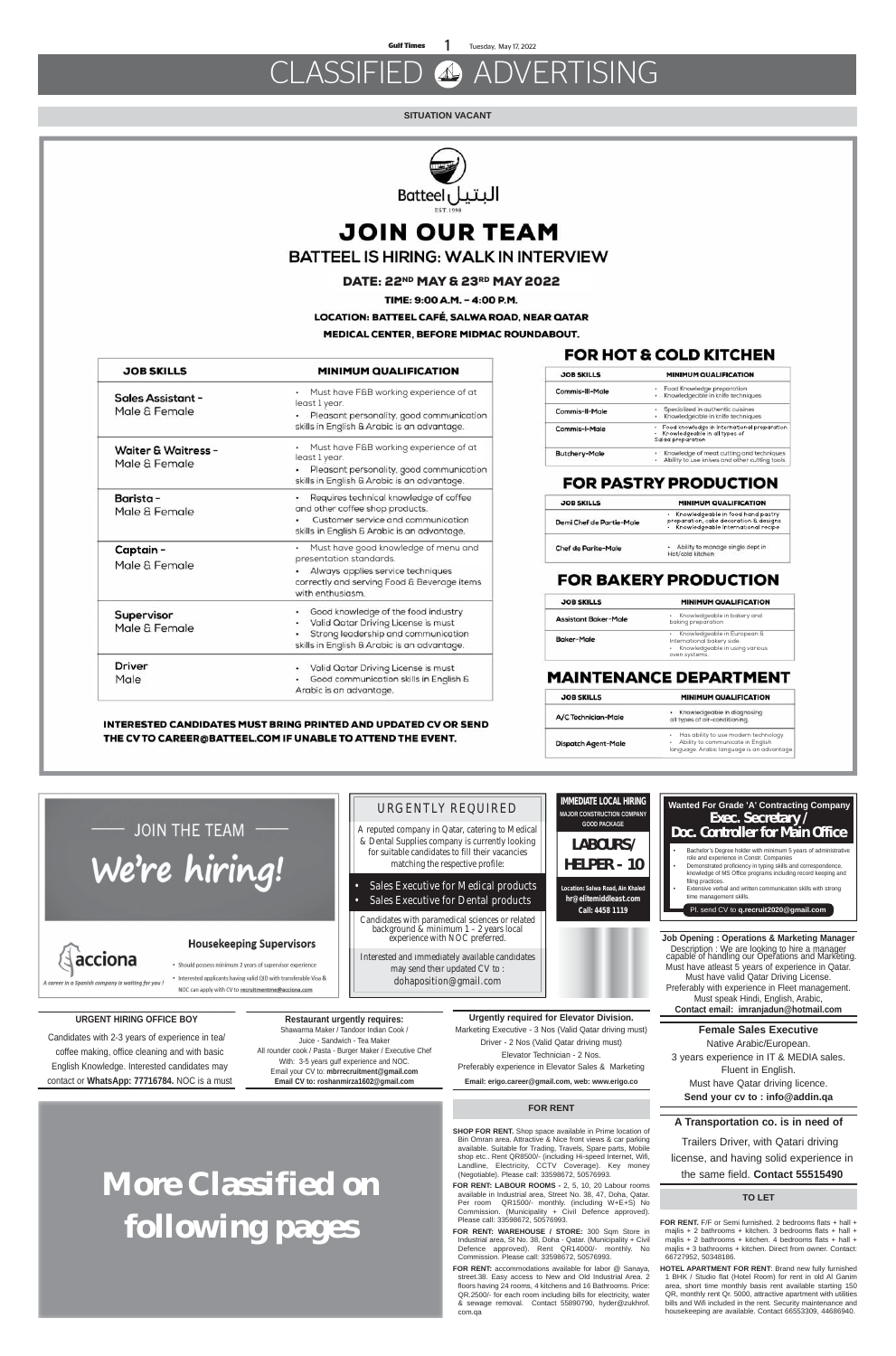## CLASSIFIED ADVERTISING

# **More Classified on following pages**

#### **SITUATION VACANT**



## **JOIN OUR TEAM**

### **BATTEEL IS HIRING: WALK IN INTERVIEW**

### **URGENT HIRING OFFICE BOY**

Candidates with 2-3 years of experience in tea/ coffee making, office cleaning and with basic English Knowledge. Interested candidates may contact or **WhatsApp: 77716784.** NOC is a must

**Restaurant urgently requires:**  Shawarma Maker / Tandoor Indian Cook / Juice - Sandwich - Tea Maker All rounder cook / Pasta - Burger Maker / Executive Chef With: 3-5 years gulf experience and NOC. Email your CV to: **mbrrecruitment@gmail.com Email CV to: roshanmirza1602@gmail.com**

### FOR HOT & COLD KITCHEN

| <b>JOB SKILLS</b>    | <b>MINIMUM QUALIFICATION</b>                                                                      |  |
|----------------------|---------------------------------------------------------------------------------------------------|--|
| Commis-III-Male      | · Food Knowledge preparation<br>· Knowledgeable in knife techniques                               |  |
| Commis-II-Male       | Specialized in authentic cuisines<br>· Knowledgeable in knife techniques                          |  |
| Commis-I-Male        | Food knowledge in International preparation<br>Knowledgeable in all types of<br>Salad preparation |  |
| <b>Butchery-Male</b> | Knowledge of meat cutting and techniques<br>Ability to use knives and other cutting tools.        |  |

### **FOR PASTRY PRODUCTION**

| <b>JOB SKILLS</b>        | MINIMUM QUALIFICATION                                                                                                 |  |
|--------------------------|-----------------------------------------------------------------------------------------------------------------------|--|
| Demi Chef de Partie-Male | • Knowledgeable in food hand pastry<br>preparation, cake decoration & designs<br>• Knowledgeable International recipe |  |
| Chef de Parite-Male      | • Ability to manage single dept in<br>Hot/cold kitchen                                                                |  |

### **FOR BAKERY PRODUCTION**

**Job Opening : Operations & Marketing Manager** Description : We are looking to hire a manager capable of handling our Operations and Marketing. Must have atleast 5 years of experience in Qatar. Must have valid Qatar Driving License. Preferably with experience in Fleet management. Must speak Hindi, English, Arabic, **Contact email: imranjadun@hotmail.com**

**Female Sales Executive** Native Arabic/European. 3 years experience in IT & MEDIA sales. Fluent in English. Must have Qatar driving licence. **Send your cv to : info@addin.qa**

### **A Transportation co. is in need of**

 Trailers Driver, with Qatari driving license, and having solid experience in the same field. **Contact 55515490**

**Urgently required for Elevator Division.** Marketing Executive - 3 Nos (Valid Qatar driving must) Driver - 2 Nos (Valid Qatar driving must) Elevator Technician - 2 Nos. Preferably experience in Elevator Sales & Marketing **Email: erigo.career@gmail.com, web: www.erigo.co**

LABOURS/

### Exec. Secretary 7 Doc. Controller for Main Office • Bachelor's Degree holder with minimum 5 years of administrative role and experience in Constr. Companies

| <b>JOB SKILLS</b>    | MINIMUM QUALIFICATION                                                                                                                  |
|----------------------|----------------------------------------------------------------------------------------------------------------------------------------|
| Assistant Baker-Male | Knowledgeable in bakery and<br>٠<br>baking preparation                                                                                 |
| Baker-Male           | Knowledgeable in European &<br>$\bullet$<br>International bakery side.<br>Knowledgeable in using various<br>$\bullet$<br>oven systems. |

### **MAINTENANCE DEPARTMENT**

| <b>JOB SKILLS</b>                               | <b>MINIMUM QUALIFICATION</b>                                                                                                                                               |
|-------------------------------------------------|----------------------------------------------------------------------------------------------------------------------------------------------------------------------------|
| <b>Sales Assistant -</b><br>Male & Female       | Must have F&B working experience of at<br>$\bullet$<br>least 1 year.<br>Pleasant personality, good communication<br>skills in English & Arabic is an advantage.            |
| <b>Waiter &amp; Waitress -</b><br>Male & Female | Must have F&B working experience of at<br>least 1 year.<br>Pleasant personality, good communication<br>skills in English & Arabic is an advantage.                         |
| Barista -<br>Male & Female                      | Requires technical knowledge of coffee<br>٠<br>and other coffee shop products.<br>Customer service and communication<br>skills in English & Arabic is an advantage.        |
| Captain -<br>Male & Female                      | Must have good knowledge of menu and<br>presentation standards.<br>Always applies service techniques<br>correctly and serving Food & Beverage items<br>with enthusiasm.    |
| Supervisor<br>Male & Female                     | Good knowledge of the food industry<br>۰<br>Valid Qatar Driving License is must<br>٠<br>Strong leadership and communication<br>skills in English & Arabic is an advantage. |
| Driver<br>Male                                  | Valid Qatar Driving License is must<br>Good communication skills in English &<br>Arabic is an advantage.                                                                   |

### INTERESTED CANDIDATES MUST BRING PRINTED AND UPDATED CV OR SEND THE CV TO CAREER@BATTEEL.COM IF UNABLE TO ATTEND THE EVENT.

| <b>JOB SKILLS</b>          | <b>MINIMUM QUALIFICATION</b>                                                                                             |  |
|----------------------------|--------------------------------------------------------------------------------------------------------------------------|--|
| A/C Technician-Male        | · Knowledgeable in diagnosing<br>all types of air-conditioning.                                                          |  |
| <b>Dispatch Agent-Male</b> | Has ability to use modern technology.<br>Ability to communicate in English<br>language. Arabic language is an advantage. |  |

DATE: 22ND MAY & 23RD MAY 2022

TIME: 9:00 A.M. - 4:00 P.M.

**LOCATION: BATTEEL CAFÉ, SALWA ROAD, NEAR QATAR** 

MEDICAL CENTER, BEFORE MIDMAC ROUNDABOUT.

A reputed company in Qatar, catering to Medical & Dental Supplies company is currently looking for suitable candidates to fill their vacancies matching the respective profile:

- Sales Executive for Medical products
- Sales Executive for Dental products

Candidates with paramedical sciences or related background & minimum 1 – 2 years local experience with NOC preferred.

Interested and immediately available candidates may send their updated CV to : : dohaposition@gmail.com

# JOIN THE TEAM -We're hiring!

# acciona

A career in a Spanish company is waiting for you

### **Housekeeping Supervisors**

• Should possess minimum 2 years of supervisor experience

• Interested applicants having valid QID with transferable Visa & NOC can apply with CV to recruitmentme@acciona.com

- 
- Demonstrated proficiency in typing skills and correspondence, knowledge of MS Office programs including record keeping and filing practices.
- Extensive verbal and written communication skills with strong time management skills.
- Pl. send CV to **q.recruit2020@gmail.com**

**IMMEDIATE LOCAL HIRING MAJOR CONSTRUCTION COMPANY GOOD PACKAGE**

HELPER - 10

**Location: Salwa Road, Ain Khaled hr@elitemiddleast.com Call: 4458 1119**

**TO LET**

### **FOR RENT**

**FOR RENT.** F/F or Semi furnished. 2 bedrooms flats + hall + majlis + 2 bathrooms + kitchen. 3 bedrooms flats + hall + majlis + 2 bathrooms + kitchen. 4 bedrooms flats + hall + majlis + 3 bathrooms + kitchen. Direct from owner. Contact: 66727952, 50348186.

**HOTEL APARTMENT FOR RENT**: Brand new fully furnished 1 BHK / Studio flat (Hotel Room) for rent in old Al Ganim area, short time monthly basis rent available starting 150 QR, monthly rent Qr. 5000, attractive apartment with utilities bills and Wifi included in the rent. Security maintenance and housekeeping are available. Contact 66553309, 44686940.

**SHOP FOR RENT.** Shop space available in Prime location of Bin Omran area. Attractive & Nice front views & car parking available. Suitable for Trading, Travels, Spare parts, Mobile shop etc.. Rent QR8500/- (including Hi-speed Internet, Wifi, Landline, Electricity, CCTV Coverage). Key money (Negotiable). Please call: 33598672, 50576993.

**FOR RENT: LABOUR ROOMS -** 2, 5, 10, 20 Labour rooms available in Industrial area, Street No. 38, 47, Doha, Qatar. Per room QR1500/- monthly. (including W+E+S) No Commission. (Municipality + Civil Defence approved). Please call: 33598672, 50576993.

**FOR RENT: WAREHOUSE / STORE:** 300 Sqm Store in Industrial area, St No. 38, Doha - Qatar. (Municipality + Civil Defence approved). Rent QR14000/- monthly. No Commission. Please call: 33598672, 50576993.

**FOR RENT:** accommodations available for labor @ Sanaya, street.38. Easy access to New and Old Industrial Area. 2 floors having 24 rooms, 4 kitchens and 16 Bathrooms. Price: QR.2500/- for each room including bills for electricity, water & sewage removal. Contact 55890790, hyder@zukhrof. com.qa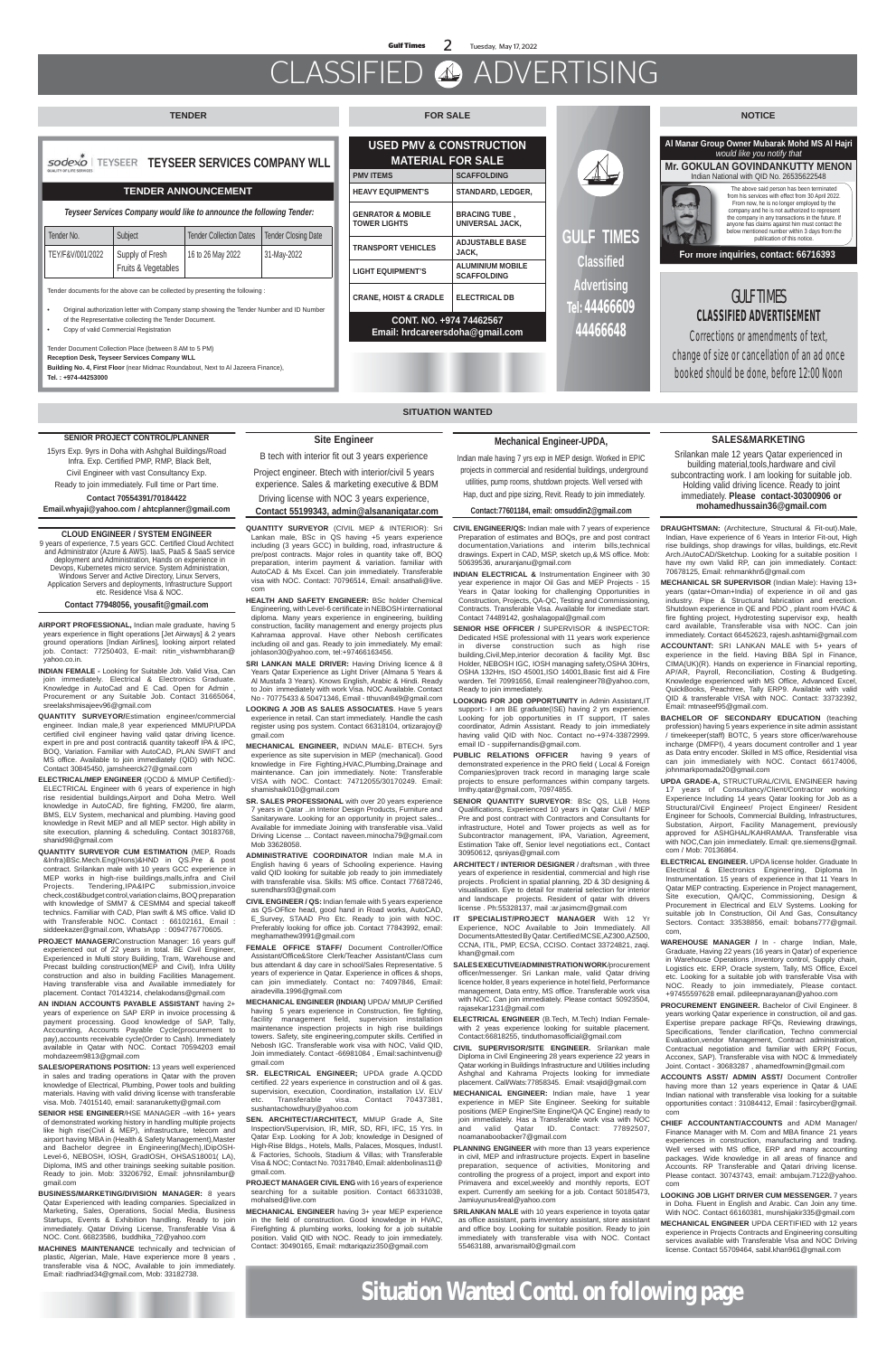## CLASSIFIED ADVERTISING

### **sodexo | TEYSEER TEYSEER SERVICES COMPANY WLL**

**Situation Wanted Contd. on following page**

### **SITUATION WANTED**

**AIRPORT PROFESSIONAL,** Indian male graduate, having 5 years experience in flight operations [Jet Airways] & 2 years ground operations [Indian Airlines], looking airport related job. Contact: 77250403, E-mail: nitin\_vishwmbharan@ yahoo.co.in.

**INDIAN FEMALE -** Looking for Suitable Job. Valid Visa, Can join immediately. Electrical & Electronics Graduate. Knowledge in AutoCad and E Cad. Open for Admin , Procurement or any Suitable Job. Contact 31665064, sreelakshmisajeev96@gmail.com

**QUANTITY SURVEYOR/**Estimation engineer/commercial engineer. Indian male,8 year experienced MMUP/UPDA certified civil engineer having valid qatar driving licence. expert in pre and post contract& quantity takeoff IPA & IPC, BOQ, Variation. Familiar with AutoCAD, PLAN SWIFT and MS office. Available to join immediately (QID) with NOC. Contact 30845450, jamsheerck27@gmail.com

**ELECTRICAL/MEP ENGINEER** (QCDD & MMUP Certified):- ELECTRICAL Engineer with 6 years of experience in high rise residential buildings,Airport and Doha Metro. Well knowledge in AutoCAD, fire fighting, FM200, fire alarm, BMS, ELV System, mechanical and plumbing. Having good knowledge in Revit MEP and all MEP sector. High ability in site execution, planning & scheduling. Contact 30183768, shanid98@gmail.com

**QUANTITY SURVEYOR CUM ESTIMATION** (MEP, Roads &Infra)BSc.Mech.Eng(Hons)&HND in QS.Pre & post contract. Srilankan male with 10 years GCC experience in MEP works in high-rise buildings,malls,infra and Civil Projects. Tendering,IPA&IPC submission,invoice check,cost&budget control,variation claims, BOQ preparation with knowledge of SMM7 & CESMM4 and special takeoff technics. Familiar with CAD, Plan swift & MS office. Valid ID with Transferable NOC. Contact : 66102161, Email : siddeekazer@gmail.com, WhatsApp : 0094776770605.

**SENIOR HSE ENGINEER/HSE MANAGER –with 16+ years** of demonstrated working history in handling multiple projects like high rise(Civil & MEP), infrastructure, telecom and airport having MBA in (Health & Safety Management),Master and Bachelor degree in Engineering(Mech),IDipOSH-Level-6, NEBOSH, IOSH, GradIOSH, OHSAS18001( LA), Diploma, IMS and other trainings seeking suitable position. Ready to join. Mob: 33206792, Email: johnsnilambur@ gmail.com

**PROJECT MANAGER/**Construction Manager: 16 years gulf experienced out of 22 years in total. BE Civil Engineer, Experienced in Multi story Building, Tram, Warehouse and Precast building construction(MEP and Civil), Infra Utility construction and also in building Facilities Management. Having transferable visa and Available immediately for placement. Contact 70143214, chelakodans@gmail.com

**AN INDIAN ACCOUNTS PAYABLE ASSISTANT** having 2+ years of experience on SAP ERP in invoice processing & payment processing. Good knowledge of SAP, Tally, Accounting, Accounts Payable Cycle(procurement to pay),accounts receivable cycle(Order to Cash). Immediately available in Qatar with NOC. Contact 70594203 email mohdazeem9813@gmail.com

**SALES/OPERATIONS POSITION:** 13 years well experienced in sales and trading operations in Qatar with the proven knowledge of Electrical, Plumbing, Power tools and building materials. Having with valid driving license with transferable visa. Mob. 74015140, email: saranaruketty@gmail.com

**BUSINESS/MARKETING/DIVISION MANAGER:** 8 years Qatar Experienced with leading companies. Specialized in Marketing, Sales, Operations, Social Media, Business Startups, Events & Exhibition handling. Ready to join immediately. Qatar Driving License, Transferable Visa & NOC. Cont. 66823586, buddhika\_72@yahoo.com

**MACHINES MAINTENANCE** technically and technician of plastic, Algerian, Male, Have experience more 8 years , transferable visa & NOC, Available to join immediately. Email: riadhriad34@gmail.com, Mob: 33182738.

**QUANTITY SURVEYOR** (CIVIL MEP & INTERIOR): Sri Lankan male, BSc in QS having +5 years experience including (3 years GCC) in building, road, infrastructure & pre/post contracts. Major roles in quantity take off, BOQ preparation, interim payment & variation. familiar with AutoCAD & Ms Excel. Can join immediately. Transferable visa with NOC. Contact: 70796514, Email: ansathali@live. com

- **HEALTH AND SAFETY ENGINEER:** BSc holder Chemical Engineering, with Level-6 certificate in NEBOSH international diploma. Many years experience in engineering, building construction, facility management and energy projects plus Kahramaa approval. Have other Nebosh certificates including oil and gas. Ready to join immediately. My email: johlason30@yahoo.com, tel:+97466163456.
- SRI LANKAN MALE DRIVER: Having Driving licence & 8 Years Qatar Experience as Light Driver (Almana 5 Years & Al Mustafa 3 Years). Knows English, Arabic & Hindi. Ready to Join immediately with work Visa. NOC Available. Contact No - 70775433 & 50471346, Email - tthuvan849@gmail.com
- **LOOKING A JOB AS SALES ASSOCIATES**. Have 5 years experience in retail. Can start immediately. Handle the cash register using pos system. Contact 66318104, ortizarajoy@ gmail.com
- **MECHANICAL ENGINEER,** INDIAN MALE- BTECH. 5yrs experience as site supervision in MEP (mechanical). Good knowledge in Fire Fighting,HVAC,Plumbing,Drainage and maintenance. Can join immediately. Note: Transferable VISA with NOC. Contact: 74712055/30170249. Email: shamishaik010@gmail.com
- **SR. SALES PROFESSIONAL** with over 20 years experience 7 years in Qatar ..in Interior Design Products, Furniture and

Sanitaryware. Looking for an opportunity in project sales... Available for immediate Joining with transferable visa..Valid Driving License ... Contact naveen.minocha79@gmail.com Mob 33628058.

**ADMINISTRATIVE COORDINATOR** Indian male M.A in English having 6 years of Schooling experience. Having valid QID looking for suitable job ready to join immediately with transferable visa. Skills: MS office. Contact 77687246, surendhars93@gmail.com

**CIVIL ENGINEER / QS:** Indian female with 5 years experience as QS-OFfice head, good hand in Road works, AutoCAD, E Survey, STAAD Pro Etc. Ready to join with NOC. Preferably looking for office job. Contact 77843992, email: meghamathew3991@gmail.com

**FEMALE OFFICE STAFF/** Document Controller/Office Assistant/Office&Store Clerk/Teacher Assistant/Class cum bus attendant & day care in school/Sales Representative. 5 years of experience in Qatar. Experience in offices & shops, can join immediately. Contact no: 74097846, Email: airadevilla.1996@gmail.com

**MECHANICAL ENGINEER (INDIAN)** UPDA/ MMUP Certified having 5 years experience in Construction, fire fighting, facility management field, supervision installation maintenance inspection projects in high rise buildings towers. Safety, site engineering,computer skills. Certified in Nebosh IGC. Transferable work visa with NOC, Valid QID, Join immediately. Contact -66981084 , Email:sachintvenu@ gmail.com

**SR. ELECTRICAL ENGINEER;** UPDA grade A.QCDD certified. 22 years experience in construction and oil & gas. supervision, execution, Coordination, installation LV. ELV etc. Transferable visa. Contact 70437381, sushantachowdhury@yahoo.com

**SEN. ARCHITECT/ARCHITECT,** MMUP Grade A, Site Inspection/Supervision, IR, MIR, SD, RFI, IFC, 15 Yrs. In Qatar Exp. Looking for A Job; knowledge in Designed of High-Rise Bldgs., Hotels, Malls, Palaces, Mosques, Industl. & Factories, Schools, Stadium & Villas; with Transferable Visa & NOC; Contact No. 70317840, Email: aldenbolinas11@ gmail.com.

**PROJECT MANAGER CIVIL ENG** with 16 years of experience searching for a suitable position. Contact 66331038, mohalsed@live.com

**MECHANICAL ENGINEER** having 3+ year MEP experience in the field of construction. Good knowledge in HVAC, Firefighting & plumbing works, looking for a job suitable position. Valid QID with NOC. Ready to join immediately. Contact: 30490165, Email: mdtariqaziz350@gmail.com

**CIVIL ENGINEER/QS:** Indian male with 7 years of experience Preparation of estimates and BOQs, pre and post contract documentation,Variations and interim bills,technical drawings. Expert in CAD, MSP, sketch up,& MS office. Mob: 50639536, anuranjanu@gmail.com

**INDIAN ELECTRICAL &** Instrumentation Engineer with 30 year experience in major Oil Gas and MEP Projects - 15 Years in Qatar looking for challenging Opportunities in Construction, Projects, QA-QC, Testing and Commissioning, Contracts. Transferable Visa. Available for immediate start. Contact 74489142, goshalagopal@gmail.com

**SENIOR HSE OFFICER /** SUPERVISOR & INSPECTOR: Dedicated HSE professional with 11 years work experience diverse construction such as high rise building,Civil,Mep,interior decoration & facility Mgt. Bsc Holder, NEBOSH IGC, IOSH managing safety,OSHA 30Hrs, OSHA 132Hrs, ISO 45001,ISO 14001,Basic first aid & Fire warden. Tel 70991656, Email realengineer78@yahoo.com, Ready to join immediately.

- **LOOKING FOR JOB OPPORTUNITY** in Admin Assistant,IT support:- I am BE graduate(ISE) having 2 yrs experience. Looking for job opportunities in IT support, IT sales coordinator, Admin Assistant. Ready to join immediately having valid QID with Noc. Contact no-+974-33872999. email ID - suppifernandis@gmail.com.
- **PUBLIC RELATIONS OFFICER** having 9 years of demonstrated experience in the PRO field ( Local & Foreign Companies)proven track record in managing large scale projects to ensure performances within company targets. Imthy.qatar@gmail.com, 70974855.

**SENIOR QUANTITY SURVEYOR**: BSc QS, LLB Hons Qualifications, Experienced 10 years in Qatar Civil / MEP Pre and post contract with Contractors and Consultants for infrastructure, Hotel and Tower projects as well as for Subcontractor management, IPA, Variation, Agreement, Estimation Take off, Senior level negotiations ect., Contact 30950612, qsniyas@gmail.com

**ARCHITECT / INTERIOR DESIGNER** / draftsman , with three years of experience in residential, commercial and high rise projects . Proficient in spatial planning, 2D & 3D designing & visualisation. Eye to detail for material selection for interior and landscape projects. Resident of qatar with drivers license . Ph:55328137, mail :ar.jasimcm@gmail.com

**IT SPECIALIST/PROJECT MANAGER** With 12 Yr Experience, NOC Available to Join Immediately. All Documents Attested By Qatar. Certified MCSE,AZ300,AZ500, CCNA, ITIL, PMP, ECSA, CCISO. Contact 33724821, zaqi. khan@gmail.com

**SALES EXECUTIVE/ADMINISTRATION WORK**/procurement officer/messenger. Sri Lankan male, valid Qatar driving licence holder, 8 years experience in hotel field, Performance management, Data entry, MS office. Transferable work visa with NOC. Can join immediately. Please contact 50923504, rajasekar1231@gmail.com

**ELECTRICAL ENGINEER** (B.Tech, M.Tech) Indian Femalewith 2 yeas experience looking for suitable placement. Contact:66818255, tinduthomasofficial@gmail.com

**CIVIL SUPERVISOR/SITE ENGINEER.** Srilankan male Diploma in Civil Engineering 28 years experience 22 years in Qatar working in Buildings Infrastructure and Utilities including Ashghal and Kahrama Projects looking for immediate placement. Call/Wats:77858345. Email: vtsajid@gmail.com

**MECHANICAL ENGINEER:** Indian male, have 1 year experience in MEP Site Engineer. Seeking for suitable positions (MEP Engine/Site Engine/QA QC Engine) ready to join immediately. Has a Transferable work visa with NOC and valid Qatar ID. Contact: 77892507, noamanaboobacker7@gmail.com

**PLANNING ENGINEER** with more than 13 years experience in civil, MEP and infrastructure projects. Expert in baseline preparation, sequence of activities, Monitoring and controlling the progress of a project, import and export into Primavera and excel,weekly and monthly reports, EOT expert. Currently am seeking for a job. Contact 50185473, Jamiuyunus4real@yahoo.com

**SRILANKAN MALE** with 10 years experience in toyota qatar as office assistant, parts inventory assistant, store assistant and office boy. Looking for suitable position. Ready to join immediately with transferable visa with NOC. Contact 55463188, anvarismail0@gmail.com

**DRAUGHTSMAN:** (Architecture, Structural & Fit-out).Male, Indian, Have experience of 6 Years in Interior Fit-out, High rise buildings, shop drawings for villas, buildings, etc.Revit Arch./AutoCAD/Sketchup. Looking for a suitable position I have my own Valid RP, can join immediately. Contact: 70678125, Email: rehmankhn5@gmail.com

**MECHANICAL SR SUPERVISOR** (Indian Male): Having 13+ years (qatar+Oman+India) of experience in oil and gas industry. Pipe & Structural fabrication and erection. Shutdown experience in QE and PDO , plant room HVAC & fire fighting project, Hydrotesting supervisor exp, health card available, Transferable visa with NOC. Can join immediately. Contact 66452623, rajesh.ashtami@gmail.com

**ACCOUNTANT:** SRI LANKAN MALE with 5+ years of experience in the field. Having BBA Spl in Finance, CIMA(UK)(R). Hands on experience in Financial reporting, AP/AR, Payroll, Reconciliation, Costing & Budgeting. Knowledge experienced with MS Office, Advanced Excel, QuickBooks, Peachtree, Tally ERP9. Available with valid QID & transferable VISA with NOC. Contact: 33732392, Email: mtnaseef95@gmail.com.

**BACHELOR OF SECONDARY EDUCATION** (teaching profession) having 5 years experience in site admin assistant / timekeeper(staff) BOTC, 5 years store officer/warehouse incharge (DMFPI), 4 years document controller and 1 year as Data entry encoder. Skilled in MS office, Residential visa can join immediately with NOC. Contact 66174006, johnmarkpomada20@gmail.com

**UPDA GRADE-A,** STRUCTURAL/CIVIL ENGINEER having 17 years of Consultancy/Client/Contractor working Experience Including 14 years Qatar looking for Job as a Structural/Civil Engineer/ Project Engineer/ Resident Engineer for Schools, Commercial Building, Infrastructures, Substation, Airport, Facility Management, previously approved for ASHGHAL/KAHRAMAA. Transferable visa with NOC,Can join immediately. Email: qre.siemens@gmail. com / Mob: 70136864.

**ELECTRICAL ENGINEER.** UPDA license holder. Graduate In Electrical & Electronics Engineering, Diploma In Instrumentation. 15 years of experience in that 11 Years In Qatar MEP contracting. Experience in Project management, Site execution, QA/QC, Commissioning, Design & Procurement in Electrical and ELV Systems. Looking for suitable job In Construction, Oil And Gas, Consultancy Sectors. Contact: 33538856, email: bobans777@gmail. com,

**WAREHOUSE MANAGER /** In - charge Indian, Male, Graduate, Having 22 years (16 years in Qatar) of experience in Warehouse Operations ,Inventory control, Supply chain, Logistics etc. ERP, Oracle system, Tally, MS Office, Excel etc. Looking for a suitable job with transferable Visa with NOC. Ready to join immediately, Please contact. +97455597628 email. pdileepnarayanan@yahoo.com

**PROCUREMENT ENGINEER.** Bachelor of Civil Engineer. 8 years working Qatar experience in construction, oil and gas. Expertise prepare package RFQs, Reviewing drawings, Specifications, Tender clarification, Techno commercial Evaluation vendor, Management, Contract administration Contractual negotiation and familiar with ERP( Focus, Acconex, SAP). Transferable visa with NOC & Immediately Joint. Contact - 30683287 , ahamedfowmin@gmail.com

**ACCOUNTS ASST/ ADMIN ASST/** Document Controller having more than 12 years experience in Qatar & UAE Indian national with transferable visa looking for a suitable opportunities contact : 31084412, Email : fasircyber@gmail. com

**CHIEF ACCOUNTANT/ACCOUNTS** and ADM Manager/ Finance Manager with M. Com and MBA finance 21 years experiences in construction, manufacturing and trading. Well versed with MS office, ERP and many accounting packages. Wide knowledge in all areas of finance and Accounts. RP Transferable and Qatari driving license. Please contact. 30743743, email: ambujam.7122@yahoo. com

**LOOKING JOB LIGHT DRIVER CUM MESSENGER.** 7 years in Doha. Fluent in English and Arabic. Can Join any time. With NOC. Contact 66160381, munshijakir335@gmail.com

**MECHANICAL ENGINEER** UPDA CERTIFIED with 12 years experience in Projects Contracts and Engineering consulting services available with Transferable Visa and NOC Driving license. Contact 55709464, sabil.khan961@gmail.com

#### **SENIOR PROJECT CONTROL/PLANNER**

15yrs Exp. 9yrs in Doha with Ashghal Buildings/Road Infra. Exp. Certified PMP, RMP, Black Belt, Civil Engineer with vast Consultancy Exp.

Ready to join immediately. Full time or Part time.

#### **Contact 70554391/70184422**

**Email.whyaji@yahoo.com / ahtcplanner@gmail.com**

### **SALES&MARKETING**

Srilankan male 12 years Qatar experienced in building material,tools,hardware and civil subcontracting work. I am looking for suitable job. Holding valid driving licence. Ready to joint immediately. **Please contact-30300906 or mohamedhussain36@gmail.com**

### **Site Engineer**

### B tech with interior fit out 3 years experience

Project engineer. Btech with interior/civil 5 years experience. Sales & marketing executive & BDM

Driving license with NOC 3 years experience, **Contact 55199343, admin@alsananiqatar.com**

### **Mechanical Engineer-UPDA,**

Indian male having 7 yrs exp in MEP design. Worked in EPIC projects in commercial and residential buildings, underground utilities, pump rooms, shutdown projects. Well versed with Hap, duct and pipe sizing, Revit. Ready to join immediately.

#### **Contact:77601184, email: omsuddin2@gmail.com**

#### **CLOUD ENGINEER / SYSTEM ENGINEER**

9 years of experience, 7.5 years GCC. Certified Cloud Architect and Administrator (Azure & AWS). IaaS, PaaS & SaaS service deployment and Administration, Hands on experience in Devops, Kubernetes micro service. System Administration, Windows Server and Active Directory, Linux Servers, Application Servers and deployments, Infrastructure Support etc. Residence Visa & NOC.

### **Contact 77948056, yousafit@gmail.com**

### **TENDER FOR SALE NOTICE**



Tender documents for the above can be collected by presenting the following :

• Original authorization letter with Company stamp showing the Tender Number and ID Number of the Representative collecting the Tender Document.

• Copy of valid Commercial Registration

Tender Document Collection Place (between 8 AM to 5 PM) **Reception Desk, Teyseer Services Company WLL Building No. 4, First Floor** (near Midmac Roundabout, Next to Al Jazeera Finance), **Tel. : +974-44253000**

### **TENDER ANNOUNCEMENT**

| Tender No.       | Subject             | <b>Tender Collection Dates</b> | <b>Tender Closing Date</b> |
|------------------|---------------------|--------------------------------|----------------------------|
| TEY/F&V/001/2022 | Supply of Fresh     | 16 to 26 May 2022              | 31-May-2022                |
|                  | Fruits & Vegetables |                                |                            |

*Teyseer Services Company would like to announce the following Tender:*

| <b>USED PMV &amp; CONSTRUCTION</b><br><b>MATERIAL FOR SALE</b> |                                                |  |
|----------------------------------------------------------------|------------------------------------------------|--|
| <b>PMV ITEMS</b>                                               | <b>SCAFFOLDING</b>                             |  |
| <b>HEAVY EQUIPMENT'S</b>                                       | <b>STANDARD, LEDGER,</b>                       |  |
| <b>GENRATOR &amp; MOBILE</b><br><b>TOWER LIGHTS</b>            | <b>BRACING TUBE,</b><br><b>UNIVERSAL JACK,</b> |  |
| <b>TRANSPORT VEHICLES</b>                                      | <b>ADJUSTABLE BASE</b><br>JACK.                |  |
| <b>LIGHT EQUIPMENT'S</b>                                       | <b>ALUMINIUM MOBILE</b><br><b>SCAFFOLDING</b>  |  |
| <b>CRANE, HOIST &amp; CRADLE</b>                               | <b>ELECTRICAL DB</b>                           |  |
|                                                                |                                                |  |

**CONT. NO. +974 74462567 Email: hrdcareersdoha@gmail.com**

### GULF TIMES **CLASSIFIED ADVERTISEMENT**

**Corrections or amendments of text, change of size or cancellation of an ad once booked should be done, before 12:00 Noon**